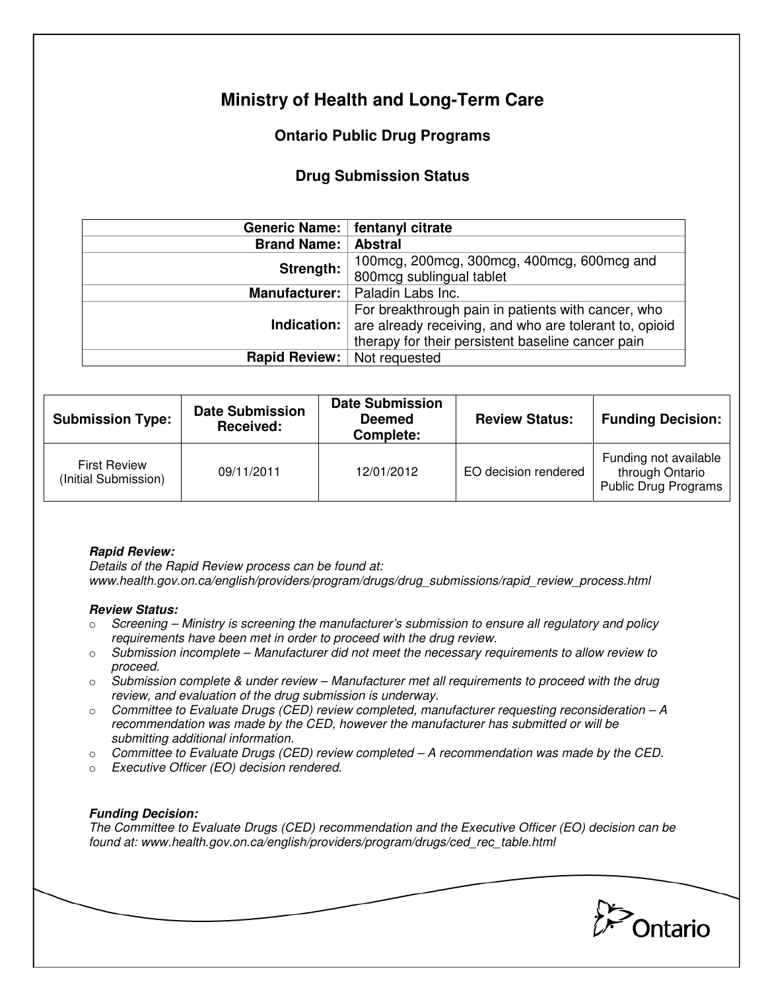# **Ministry of Health and Long-Term Care**

## **Ontario Public Drug Programs**

### **Drug Submission Status**

|                      | Generic Name:   fentanyl citrate                                                                                                                                                     |  |  |
|----------------------|--------------------------------------------------------------------------------------------------------------------------------------------------------------------------------------|--|--|
| <b>Brand Name:</b>   | <b>Abstral</b>                                                                                                                                                                       |  |  |
| Strength:            | 100 mcg, 200 mcg, 300 mcg, 400 mcg, 600 mcg and<br>800mcg sublingual tablet                                                                                                          |  |  |
| <b>Manufacturer:</b> | Paladin Labs Inc.                                                                                                                                                                    |  |  |
|                      | For breakthrough pain in patients with cancer, who<br><b>Indication:</b> are already receiving, and who are tolerant to, opioid<br>therapy for their persistent baseline cancer pain |  |  |
| Rapid Review:        | Not requested                                                                                                                                                                        |  |  |

| <b>Submission Type:</b>                     | <b>Date Submission</b><br>Received: | <b>Date Submission</b><br><b>Deemed</b><br>Complete: | <b>Review Status:</b> | <b>Funding Decision:</b>                                                |
|---------------------------------------------|-------------------------------------|------------------------------------------------------|-----------------------|-------------------------------------------------------------------------|
| <b>First Review</b><br>(Initial Submission) | 09/11/2011                          | 12/01/2012                                           | EO decision rendered  | Funding not available<br>through Ontario<br><b>Public Drug Programs</b> |

#### **Rapid Review:**

Details of the Rapid Review process can be found at: www.health.gov.on.ca/english/providers/program/drugs/drug\_submissions/rapid\_review\_process.html

#### **Review Status:**

- $\circ$  Screening Ministry is screening the manufacturer's submission to ensure all regulatory and policy requirements have been met in order to proceed with the drug review.
- $\circ$  Submission incomplete Manufacturer did not meet the necessary requirements to allow review to proceed.
- $\circ$  Submission complete & under review Manufacturer met all requirements to proceed with the drug review, and evaluation of the drug submission is underway.
- $\circ$  Committee to Evaluate Drugs (CED) review completed, manufacturer requesting reconsideration A recommendation was made by the CED, however the manufacturer has submitted or will be submitting additional information.
- $\circ$  Committee to Evaluate Drugs (CED) review completed  $-A$  recommendation was made by the CED.
- o Executive Officer (EO) decision rendered.

### **Funding Decision:**

The Committee to Evaluate Drugs (CED) recommendation and the Executive Officer (EO) decision can be found at: www.health.gov.on.ca/english/providers/program/drugs/ced\_rec\_table.html